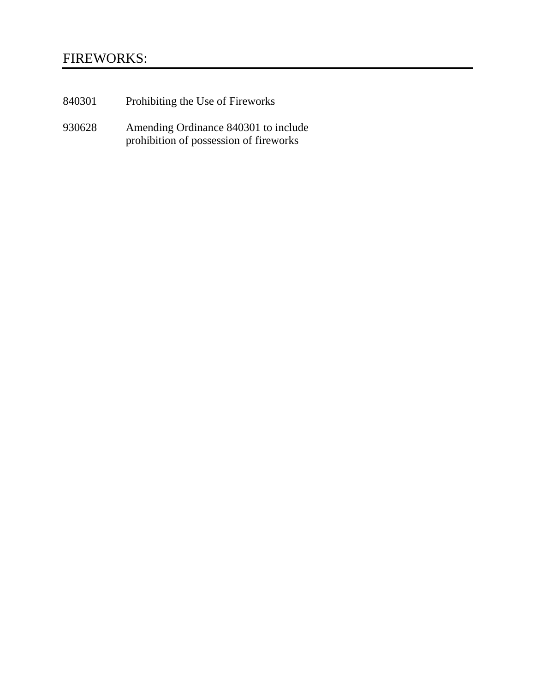# FIREWORKS:

- 840301 Prohibiting the Use of Fireworks
- 930628 Amending Ordinance 840301 to include prohibition of possession of fireworks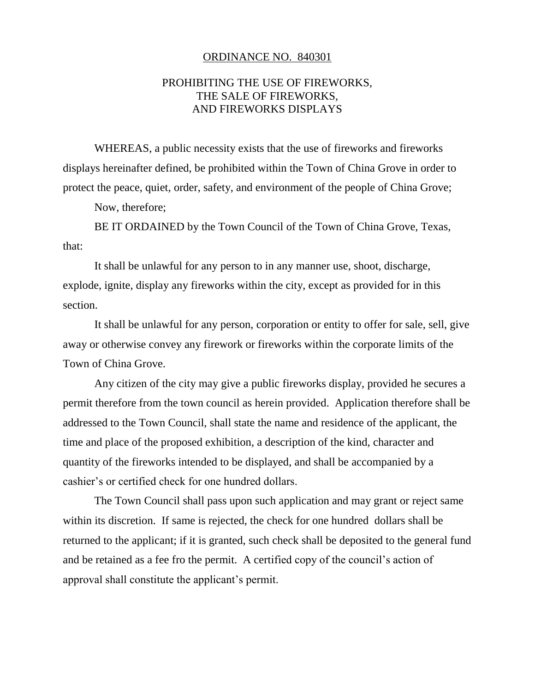#### ORDINANCE NO. 840301

### PROHIBITING THE USE OF FIREWORKS, THE SALE OF FIREWORKS, AND FIREWORKS DISPLAYS

WHEREAS, a public necessity exists that the use of fireworks and fireworks displays hereinafter defined, be prohibited within the Town of China Grove in order to protect the peace, quiet, order, safety, and environment of the people of China Grove;

Now, therefore;

BE IT ORDAINED by the Town Council of the Town of China Grove, Texas, that:

It shall be unlawful for any person to in any manner use, shoot, discharge, explode, ignite, display any fireworks within the city, except as provided for in this section.

It shall be unlawful for any person, corporation or entity to offer for sale, sell, give away or otherwise convey any firework or fireworks within the corporate limits of the Town of China Grove.

Any citizen of the city may give a public fireworks display, provided he secures a permit therefore from the town council as herein provided. Application therefore shall be addressed to the Town Council, shall state the name and residence of the applicant, the time and place of the proposed exhibition, a description of the kind, character and quantity of the fireworks intended to be displayed, and shall be accompanied by a cashier's or certified check for one hundred dollars.

The Town Council shall pass upon such application and may grant or reject same within its discretion. If same is rejected, the check for one hundred dollars shall be returned to the applicant; if it is granted, such check shall be deposited to the general fund and be retained as a fee fro the permit. A certified copy of the council's action of approval shall constitute the applicant's permit.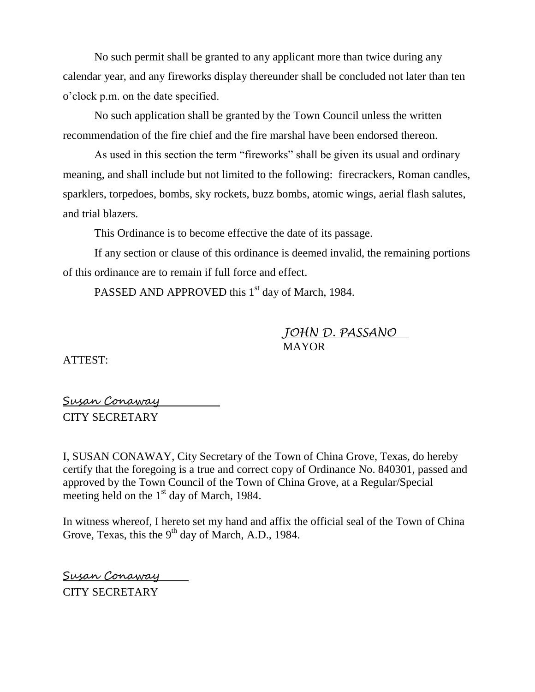No such permit shall be granted to any applicant more than twice during any calendar year, and any fireworks display thereunder shall be concluded not later than ten o'clock p.m. on the date specified.

No such application shall be granted by the Town Council unless the written recommendation of the fire chief and the fire marshal have been endorsed thereon.

As used in this section the term "fireworks" shall be given its usual and ordinary meaning, and shall include but not limited to the following: firecrackers, Roman candles, sparklers, torpedoes, bombs, sky rockets, buzz bombs, atomic wings, aerial flash salutes, and trial blazers.

This Ordinance is to become effective the date of its passage.

If any section or clause of this ordinance is deemed invalid, the remaining portions of this ordinance are to remain if full force and effect.

PASSED AND APPROVED this 1<sup>st</sup> day of March, 1984.

*JOHN D. PASSANO* MAYOR

ATTEST:

Susan Conaway CITY SECRETARY

I, SUSAN CONAWAY, City Secretary of the Town of China Grove, Texas, do hereby certify that the foregoing is a true and correct copy of Ordinance No. 840301, passed and approved by the Town Council of the Town of China Grove, at a Regular/Special meeting held on the  $1<sup>st</sup>$  day of March, 1984.

In witness whereof, I hereto set my hand and affix the official seal of the Town of China Grove, Texas, this the  $9<sup>th</sup>$  day of March, A.D., 1984.

Susan Conaway CITY SECRETARY